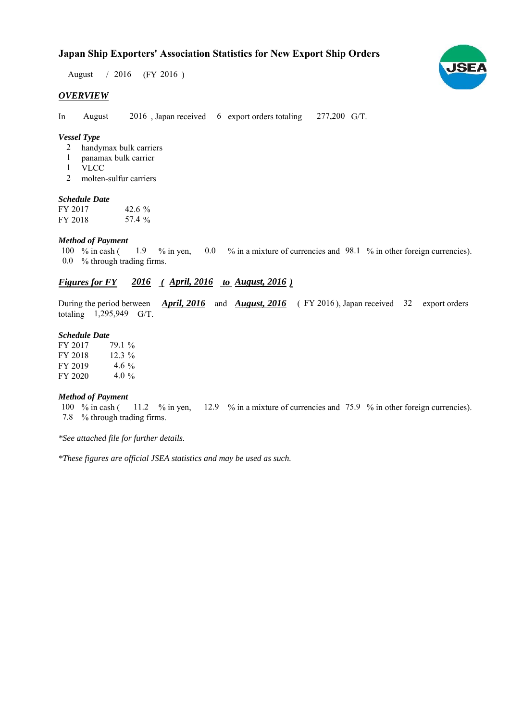## **Japan Ship Exporters' Association Statistics for New Export Ship Orders**

August / 2016 (FY 2016)

#### *OVERVIEW*

In August 2016, Japan received 6 export orders totaling 277,200 G/T. August

#### *Vessel Type*

- handymax bulk carriers 2
- panamax bulk carrier 1
- VLCC 1
- molten-sulfur carriers 2

#### *Schedule Date*

FY 2017 FY 2018 42.6  $%$ 57.4

#### *Method of Payment*

% in cash ( $\frac{1.9}{8}$  % in yen,  $\frac{0.0}{8}$  in a mixture of currencies and 98.1 % in other foreign currencies). % through trading firms. 0.0 100  $%$  in cash (

### *Figures for FY* 2016 (*April, 2016 to August, 2016*)

During the period between *April, 2016* and *August, 2016* (FY 2016), Japan received 32 export orders totaling 1,295,949 G/T.

#### *Schedule Date*

| FY 2017 | 79.1 %   |
|---------|----------|
| FY 2018 | $12.3\%$ |
| FY 2019 | 4.6 $\%$ |
| FY 2020 | 4.0 %    |

#### *Method of Payment*

100 % in cash ( $11.2$  % in yen,  $12.9$  % in a mixture of currencies and 75.9 % in other foreign currencies). % through trading firms. 7.8

*\*See attached file for further details.*

*\*These figures are official JSEA statistics and may be used as such.*

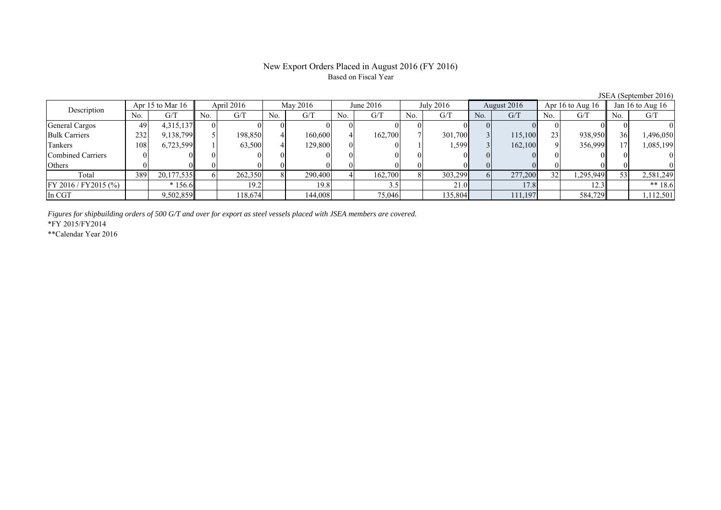### New Export Orders Placed in August 2016 (FY 2016) Based on Fiscal Year

|                                   | $3.5$ $\mu$ $\lambda$ (september 2010) |                        |     |             |     |           |     |             |                |                    |          |                    |     |           |                 |           |
|-----------------------------------|----------------------------------------|------------------------|-----|-------------|-----|-----------|-----|-------------|----------------|--------------------|----------|--------------------|-----|-----------|-----------------|-----------|
| Apr 15 to Mar $16$<br>Description |                                        | April 2016<br>May 2016 |     | June $2016$ |     | July 2016 |     | August 2016 |                | Apr 16 to Aug $16$ |          | Jan 16 to Aug $16$ |     |           |                 |           |
|                                   | No.                                    | G/T                    | No. | G/T         | No. | G/T       | No. | G/T         | N <sub>o</sub> | G/T                | No.      | G/T                | No. | G/T       | No.             | G/T       |
| General Cargos                    | 49                                     | 4,315,137              |     |             |     |           |     |             |                |                    |          |                    |     |           |                 |           |
| <b>Bulk Carriers</b>              | 232                                    | 9,138,799              |     | 198,850     |     | 160,600   |     | 162,700     |                | 301,700            |          | 115,100            | 23  | 938,950   | 36 <sup>l</sup> | 1,496,050 |
| Tankers                           | 108                                    | 6,723,599              |     | 63,500      |     | 129,800   |     |             |                | 1.5991             |          | 162,100            |     | 356,999   |                 | 1,085,199 |
| <b>Combined Carriers</b>          |                                        |                        |     |             |     |           |     |             |                |                    |          |                    |     |           |                 |           |
| Others                            |                                        |                        |     |             |     |           |     |             |                |                    |          |                    |     |           |                 |           |
| Total                             | 389                                    | 20,177,535             |     | 262,350     |     | 290,400   |     | 162,700     |                | 303,299            | $\sigma$ | 277,200            |     | 1,295,949 |                 | 2,581,249 |
| FY 2016 / FY 2015 (%)             |                                        | $*156.6$               |     | 19.2        |     | 19.8      |     |             |                | 21.0               |          | 17.8               |     | 12.3      |                 | $** 18.6$ |
| In CGT                            |                                        | 9,502,859              |     | 118,674     |     | 144,008   |     | 75,046      |                | 135,804            |          | 111,197            |     | 584,729   |                 | 1,112,501 |

*Figures for shipbuilding orders of 500 G/T and over for export as steel vessels placed with JSEA members are covered.*

\*FY 2015/FY2014

\*\*Calendar Year 2016

JSEA (September 2016)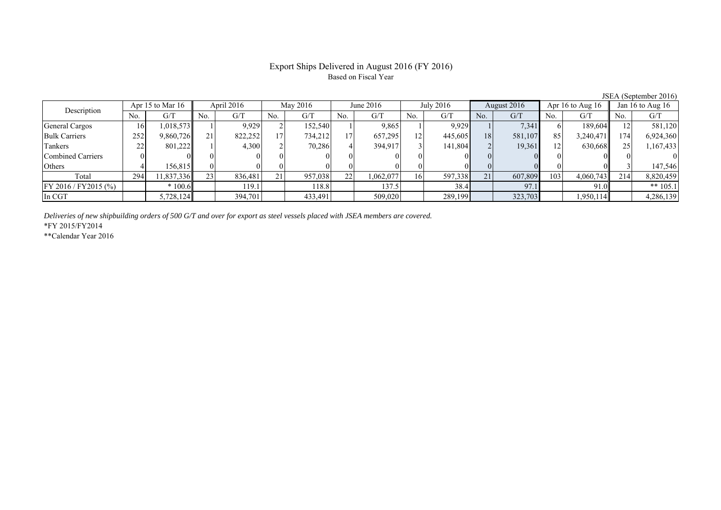## Export Ships Delivered in August 2016 (FY 2016) Based on Fiscal Year

| Description           | Apr 15 to Mar $16$ |            | April 2016  |         | May 2016 |         | June $2016$     |          | July 2016 |         | August 2016 |         | Apr 16 to Aug $16$ |           | Jan 16 to Aug $16$ |            |
|-----------------------|--------------------|------------|-------------|---------|----------|---------|-----------------|----------|-----------|---------|-------------|---------|--------------------|-----------|--------------------|------------|
|                       | No.                | G/T        | No.         | G/T     | No.      | G/T     | No.             | G/T      | No.       | G/T     | No.         | G/T     | No.                | G/T       | No.                | G/T        |
| General Cargos        | 16                 | 1,018,573  |             | 9.929   |          | 152,540 |                 | 9,865    |           | 9,929   |             | 7,341   |                    | 189,604   |                    | 581,120    |
| <b>Bulk Carriers</b>  | 252                | 9,860,726  | $^{\sim}$ 1 | 822,252 | 17       | 734,212 | 17 <sub>1</sub> | 657,295  | 12        | 445,605 | 18          | 581,107 | 85                 | 3,240,471 | 174                | 6,924,360  |
| Tankers               | 22                 | 801.2221   |             | 4,300   |          | 70,286  |                 | 394.917  |           | 141,804 |             | 19,361  |                    | 630,668   |                    | 1,167,433  |
| Combined Carriers     |                    |            |             |         |          |         |                 |          |           |         |             |         | 01                 |           |                    |            |
| Others                |                    | 156.815    |             |         |          |         |                 |          |           |         |             |         |                    |           |                    | 147,546    |
| Total                 | 294                | 11,837,336 | 23          | 836.481 | 21       | 957,038 | 221             | ,062,077 | 16        | 597,338 | 21          | 607,809 | 103                | 4,060,743 | 214                | 8,820,459  |
| FY 2016 / FY 2015 (%) |                    | $*100.6$   |             | 119.1   |          | 118.8   |                 | 137.5    |           | 38.4    |             | 97.1    |                    | 91.0      |                    | ** $105.1$ |
| In CGT                |                    | 5,728,124  |             | 394,701 |          | 433,491 |                 | 509,020  |           | 289,199 |             | 323,703 |                    | 1,950,114 |                    | 4,286,139  |

*Deliveries of new shipbuilding orders of 500 G/T and over for export as steel vessels placed with JSEA members are covered.*

\*FY 2015/FY2014

\*\*Calendar Year 2016

JSEA (September 2016)